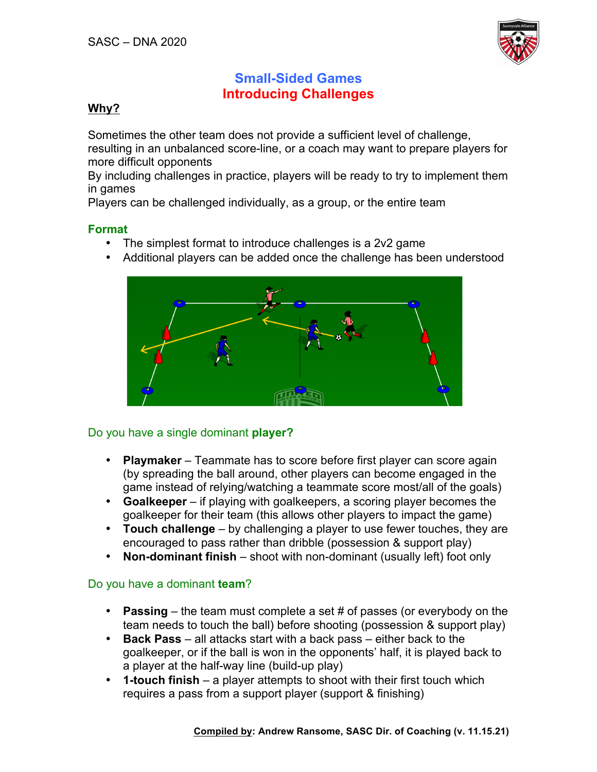

# **Small-Sided Games Introducing Challenges**

## **Why?**

Sometimes the other team does not provide a sufficient level of challenge, resulting in an unbalanced score-line, or a coach may want to prepare players for more difficult opponents

By including challenges in practice, players will be ready to try to implement them in games

Players can be challenged individually, as a group, or the entire team

### **Format**

- The simplest format to introduce challenges is a 2v2 game
- Additional players can be added once the challenge has been understood



# Do you have a single dominant **player?**

- **Playmaker** Teammate has to score before first player can score again (by spreading the ball around, other players can become engaged in the game instead of relying/watching a teammate score most/all of the goals)
- **Goalkeeper** if playing with goalkeepers, a scoring player becomes the goalkeeper for their team (this allows other players to impact the game)
- **Touch challenge** by challenging a player to use fewer touches, they are encouraged to pass rather than dribble (possession & support play)
- **Non-dominant finish** shoot with non-dominant (usually left) foot only

#### Do you have a dominant **team**?

- **Passing** the team must complete a set # of passes (or everybody on the team needs to touch the ball) before shooting (possession & support play)
- **Back Pass** all attacks start with a back pass either back to the goalkeeper, or if the ball is won in the opponents' half, it is played back to a player at the half-way line (build-up play)
- **1-touch finish** a player attempts to shoot with their first touch which requires a pass from a support player (support & finishing)